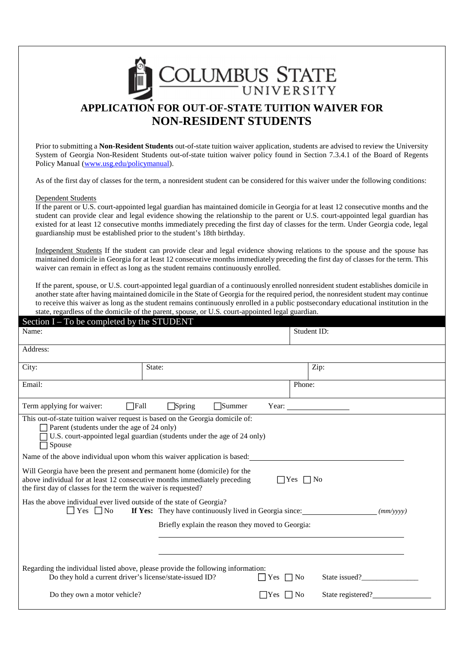

Prior to submitting a **Non-Resident Students** out-of-state tuition waiver application, students are advised to review the University System of Georgia Non-Resident Students out-of-state tuition waiver policy found in Section 7.3.4.1 of the Board of Regents Policy Manual (www.usg.edu/policymanual).

As of the first day of classes for the term, a nonresident student can be considered for this waiver under the following conditions:

## Dependent Students

If the parent or U.S. court-appointed legal guardian has maintained domicile in Georgia for at least 12 consecutive months and the student can provide clear and legal evidence showing the relationship to the parent or U.S. court-appointed legal guardian has existed for at least 12 consecutive months immediately preceding the first day of classes for the term. Under Georgia code, legal guardianship must be established prior to the student's 18th birthday.

Independent Students If the student can provide clear and legal evidence showing relations to the spouse and the spouse has maintained domicile in Georgia for at least 12 consecutive months immediately preceding the first day of classes for the term. This waiver can remain in effect as long as the student remains continuously enrolled.

If the parent, spouse, or U.S. court-appointed legal guardian of a continuously enrolled nonresident student establishes domicile in another state after having maintained domicile in the State of Georgia for the required period, the nonresident student may continue to receive this waiver as long as the student remains continuously enrolled in a public postsecondary educational institution in the state, regardless of the domicile of the parent, spouse, or U.S. court-appointed legal guardian.  $\frac{1}{2}$  and  $\frac{1}{2}$  and  $\frac{1}{2}$  and  $\frac{1}{2}$  and  $\frac{1}{2}$  and  $\frac{1}{2}$  and  $\frac{1}{2}$  and  $\frac{1}{2}$  and  $\frac{1}{2}$  and  $\frac{1}{2}$  and  $\frac{1}{2}$  and  $\frac{1}{2}$  and  $\frac{1}{2}$  and  $\frac{1}{2}$  and  $\frac{1}{2}$  and  $\frac{1}{2}$  a

| $\epsilon$ section $I - I_0$ be completed by the STUDENT                                                                                                                                                                                        |                                                        |     |                                     |           |  |
|-------------------------------------------------------------------------------------------------------------------------------------------------------------------------------------------------------------------------------------------------|--------------------------------------------------------|-----|-------------------------------------|-----------|--|
| Name:                                                                                                                                                                                                                                           |                                                        |     | Student ID:                         |           |  |
| Address:                                                                                                                                                                                                                                        |                                                        |     |                                     |           |  |
| City:                                                                                                                                                                                                                                           | State:                                                 |     | Zip:                                |           |  |
| Email:                                                                                                                                                                                                                                          |                                                        |     | Phone:                              |           |  |
| $\Box$ Fall<br>$\Box$ Spring<br>Term applying for waiver:<br>Summer                                                                                                                                                                             |                                                        |     |                                     |           |  |
| This out-of-state tuition waiver request is based on the Georgia domicile of:<br>Parent (students under the age of 24 only)<br>U.S. court-appointed legal guardian (students under the age of 24 only)<br>Spouse                                |                                                        |     |                                     |           |  |
| Name of the above individual upon whom this waiver application is based:                                                                                                                                                                        |                                                        |     |                                     |           |  |
| Will Georgia have been the present and permanent home (domicile) for the<br>above individual for at least 12 consecutive months immediately preceding<br>$\Box$ Yes $\Box$ No<br>the first day of classes for the term the waiver is requested? |                                                        |     |                                     |           |  |
| Has the above individual ever lived outside of the state of Georgia?<br>$Yes \Box No$<br>$\mathbf{I}$                                                                                                                                           | If Yes: They have continuously lived in Georgia since: |     |                                     | (mm/vyyy) |  |
|                                                                                                                                                                                                                                                 | Briefly explain the reason they moved to Georgia:      |     |                                     |           |  |
|                                                                                                                                                                                                                                                 |                                                        |     |                                     |           |  |
| Regarding the individual listed above, please provide the following information:<br>Do they hold a current driver's license/state-issued ID?<br>State issued?<br>$\Box$ Yes $\Box$ No                                                           |                                                        |     |                                     |           |  |
| Do they own a motor vehicle?                                                                                                                                                                                                                    |                                                        | Yes | State registered?<br>N <sub>o</sub> |           |  |